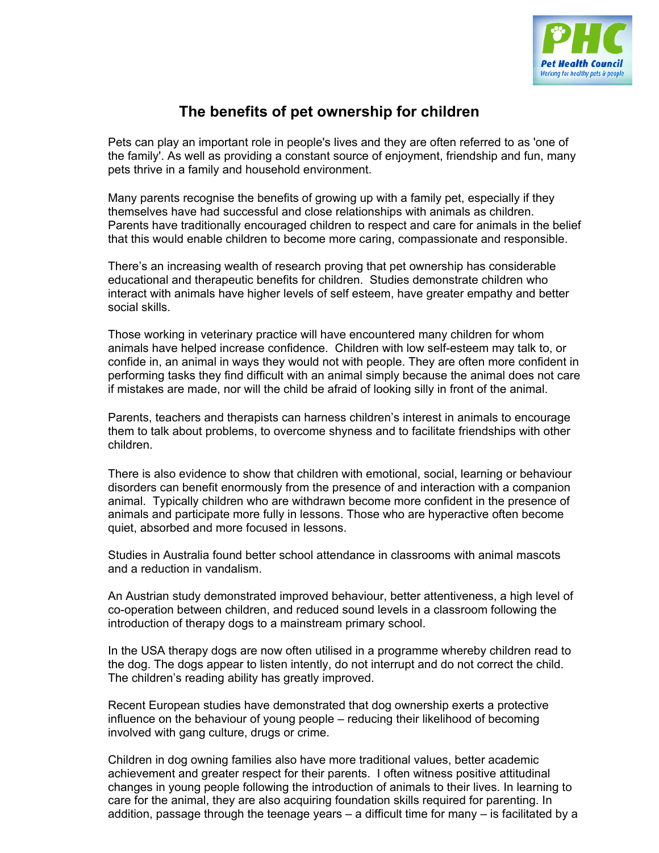

## **The benefits of pet ownership for children**

Pets can play an important role in people's lives and they are often referred to as 'one of the family'. As well as providing a constant source of enjoyment, friendship and fun, many pets thrive in a family and household environment.

Many parents recognise the benefits of growing up with a family pet, especially if they themselves have had successful and close relationships with animals as children. Parents have traditionally encouraged children to respect and care for animals in the belief that this would enable children to become more caring, compassionate and responsible.

There's an increasing wealth of research proving that pet ownership has considerable educational and therapeutic benefits for children. Studies demonstrate children who interact with animals have higher levels of self esteem, have greater empathy and better social skills.

Those working in veterinary practice will have encountered many children for whom animals have helped increase confidence. Children with low self-esteem may talk to, or confide in, an animal in ways they would not with people. They are often more confident in performing tasks they find difficult with an animal simply because the animal does not care if mistakes are made, nor will the child be afraid of looking silly in front of the animal.

Parents, teachers and therapists can harness children's interest in animals to encourage them to talk about problems, to overcome shyness and to facilitate friendships with other children.

There is also evidence to show that children with emotional, social, learning or behaviour disorders can benefit enormously from the presence of and interaction with a companion animal. Typically children who are withdrawn become more confident in the presence of animals and participate more fully in lessons. Those who are hyperactive often become quiet, absorbed and more focused in lessons.

Studies in Australia found better school attendance in classrooms with animal mascots and a reduction in vandalism.

An Austrian study demonstrated improved behaviour, better attentiveness, a high level of co-operation between children, and reduced sound levels in a classroom following the introduction of therapy dogs to a mainstream primary school.

In the USA therapy dogs are now often utilised in a programme whereby children read to the dog. The dogs appear to listen intently, do not interrupt and do not correct the child. The children's reading ability has greatly improved.

Recent European studies have demonstrated that dog ownership exerts a protective influence on the behaviour of young people – reducing their likelihood of becoming involved with gang culture, drugs or crime.

Children in dog owning families also have more traditional values, better academic achievement and greater respect for their parents. I often witness positive attitudinal changes in young people following the introduction of animals to their lives. In learning to care for the animal, they are also acquiring foundation skills required for parenting. In addition, passage through the teenage years  $-$  a difficult time for many  $-$  is facilitated by a